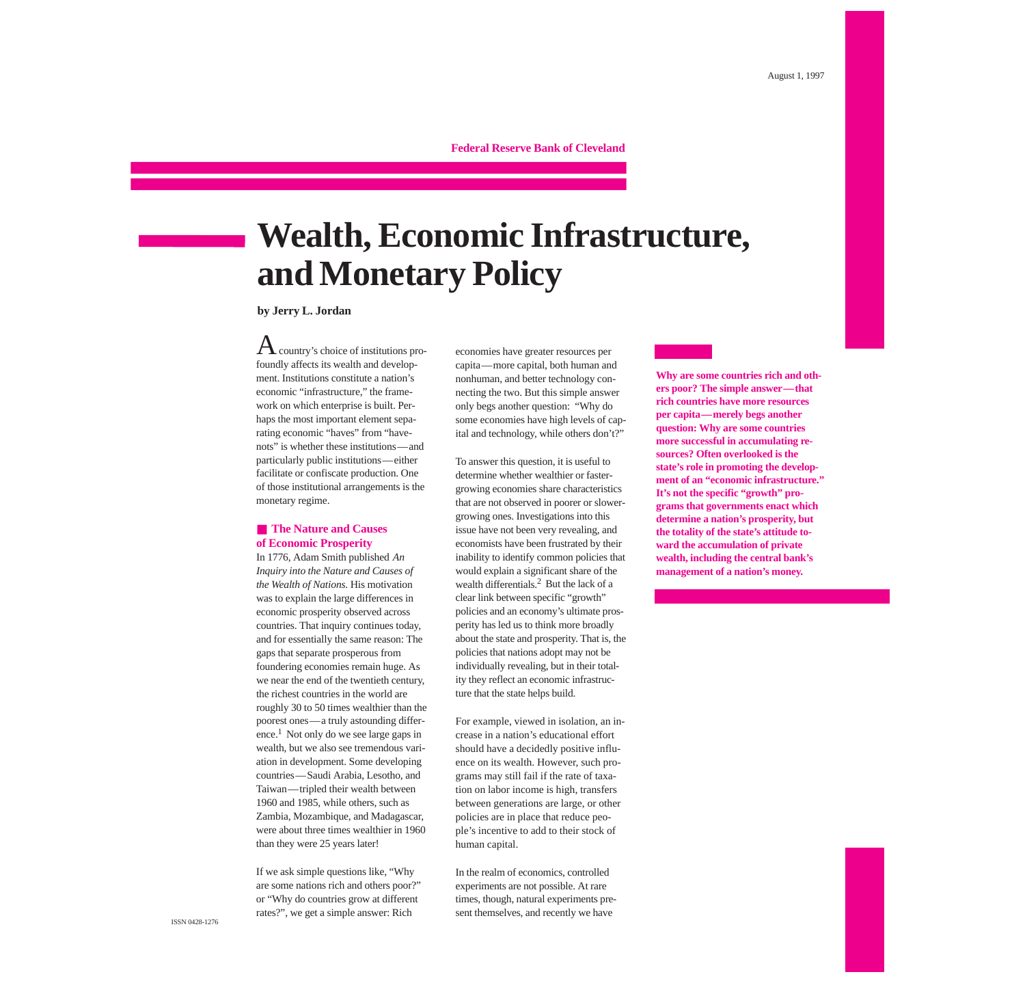## **Federal Reserve Bank of Cleveland**

# **Wealth, Economic Infrastructure, and Monetary Policy**

**by Jerry L. Jordan**

 ${\rm A}$  country's choice of institutions profoundly affects its wealth and development. Institutions constitute a nation's economic "infrastructure," the framework on which enterprise is built. Perhaps the most important element separating economic "haves" from "havenots" is whether these institutions—and particularly public institutions—either facilitate or confiscate production. One of those institutional arrangements is the monetary regime.

### ■ **The Nature and Causes of Economic Prosperity**

In 1776, Adam Smith published *An Inquiry into the Nature and Causes of the Wealth of Nations.* His motivation was to explain the large differences in economic prosperity observed across countries. That inquiry continues today, and for essentially the same reason: The gaps that separate prosperous from foundering economies remain huge. As we near the end of the twentieth century, the richest countries in the world are roughly 30 to 50 times wealthier than the poorest ones—a truly astounding difference[.1](#page-3-0) Not only do we see large gaps in wealth, but we also see tremendous variation in development. Some developing countries—Saudi Arabia, Lesotho, and Taiwan—tripled their wealth between 1960 and 1985, while others, such as Zambia, Mozambique, and Madagascar, were about three times wealthier in 1960 than they were 25 years later!

If we ask simple questions like, "Why are some nations rich and others poor?" or "Why do countries grow at different rates?", we get a simple answer: Rich

economies have greater resources per capita—more capital, both human and nonhuman, and better technology connecting the two. But this simple answer only begs another question: "Why do some economies have high levels of capital and technology, while others don't?"

To answer this question, it is useful to determine whether wealthier or fastergrowing economies share characteristics that are not observed in poorer or slowergrowing ones. Investigations into this issue have not been very revealing, and economists have been frustrated by their inability to identify common policies that would explain a significant share of the wealth differential[s.2](#page-3-0) But the lack of a clear link between specific "growth" policies and an economy's ultimate prosperity has led us to think more broadly about the state and prosperity. That is, the policies that nations adopt may not be individually revealing, but in their totality they reflect an economic infrastructure that the state helps build.

For example, viewed in isolation, an increase in a nation's educational effort should have a decidedly positive influence on its wealth. However, such programs may still fail if the rate of taxation on labor income is high, transfers between generations are large, or other policies are in place that reduce people's incentive to add to their stock of human capital.

In the realm of economics, controlled experiments are not possible. At rare times, though, natural experiments present themselves, and recently we have

**Why are some countries rich and others poor? The simple answer—that rich countries have more resources per capita—merely begs another question: Why are some countries more successful in accumulating resources? Often overlooked is the state's role in promoting the development of an "economic infrastructure." It's not the specific "growth" programs that governments enact which determine a nation's prosperity, but the totality of the state's attitude toward the accumulation of private wealth, including the central bank's management of a nation's money.**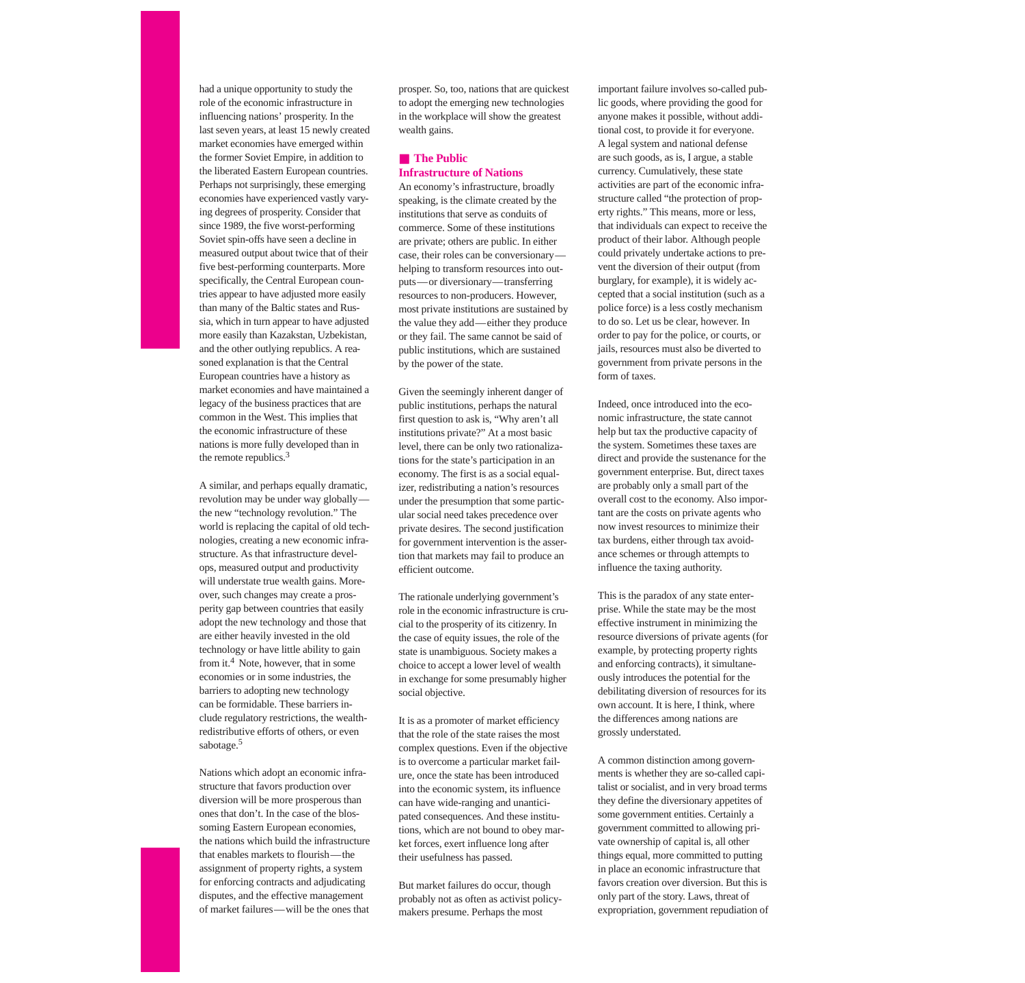had a unique opportunity to study the role of the economic infrastructure in influencing nations' prosperity. In the last seven years, at least 15 newly created market economies have emerged within the former Soviet Empire, in addition to the liberated Eastern European countries. Perhaps not surprisingly, these emerging economies have experienced vastly varying degrees of prosperity. Consider that since 1989, the five worst-performing Soviet spin-offs have seen a decline in measured output about twice that of their five best-performing counterparts. More specifically, the Central European countries appear to have adjusted more easily than many of the Baltic states and Russia, which in turn appear to have adjusted more easily than Kazakstan, Uzbekistan, and the other outlying republics. A reasoned explanation is that the Central European countries have a history as market economies and have maintained a legacy of the business practices that are common in the West. This implies that the economic infrastructure of these nations is more fully developed than in the remote republics.<sup>3</sup>

A similar, and perhaps equally dramatic, revolution may be under way globally the new "technology revolution." The world is replacing the capital of old technologies, creating a new economic infrastructure. As that infrastructure develops, measured output and productivity will understate true wealth gains. Moreover, such changes may create a prosperity gap between countries that easily adopt the new technology and those that are either heavily invested in the old technology or have little ability to gain from it.<sup>4</sup> Note, however, that in some economies or in some industries, the barriers to adopting new technology can be formidable. These barriers include regulatory restrictions, the wealthredistributive efforts of others, or even sabotage[.5](#page-3-0)

Nations which adopt an economic infrastructure that favors production over diversion will be more prosperous than ones that don't. In the case of the blossoming Eastern European economies, the nations which build the infrastructure that enables markets to flourish—the assignment of property rights, a system for enforcing contracts and adjudicating disputes, and the effective management of market failures—will be the ones that

prosper. So, too, nations that are quickest to adopt the emerging new technologies in the workplace will show the greatest wealth gains.

# ■ **The Public Infrastructure of Nations**

An economy's infrastructure, broadly speaking, is the climate created by the institutions that serve as conduits of commerce. Some of these institutions are private; others are public. In either case, their roles can be conversionary helping to transform resources into outputs—or diversionary—transferring resources to non-producers. However, most private institutions are sustained by the value they add—either they produce or they fail. The same cannot be said of public institutions, which are sustained by the power of the state.

Given the seemingly inherent danger of public institutions, perhaps the natural first question to ask is, "Why aren't all institutions private?" At a most basic level, there can be only two rationalizations for the state's participation in an economy. The first is as a social equalizer, redistributing a nation's resources under the presumption that some particular social need takes precedence over private desires. The second justification for government intervention is the assertion that markets may fail to produce an efficient outcome.

The rationale underlying government's role in the economic infrastructure is crucial to the prosperity of its citizenry. In the case of equity issues, the role of the state is unambiguous. Society makes a choice to accept a lower level of wealth in exchange for some presumably higher social objective.

It is as a promoter of market efficiency that the role of the state raises the most complex questions. Even if the objective is to overcome a particular market failure, once the state has been introduced into the economic system, its influence can have wide-ranging and unanticipated consequences. And these institutions, which are not bound to obey market forces, exert influence long after their usefulness has passed.

But market failures do occur, though probably not as often as activist policymakers presume. Perhaps the most

important failure involves so-called public goods, where providing the good for anyone makes it possible, without additional cost, to provide it for everyone. A legal system and national defense are such goods, as is, I argue, a stable currency. Cumulatively, these state activities are part of the economic infrastructure called "the protection of property rights." This means, more or less, that individuals can expect to receive the product of their labor. Although people could privately undertake actions to prevent the diversion of their output (from burglary, for example), it is widely accepted that a social institution (such as a police force) is a less costly mechanism to do so. Let us be clear, however. In order to pay for the police, or courts, or jails, resources must also be diverted to government from private persons in the form of taxes.

Indeed, once introduced into the economic infrastructure, the state cannot help but tax the productive capacity of the system. Sometimes these taxes are direct and provide the sustenance for the government enterprise. But, direct taxes are probably only a small part of the overall cost to the economy. Also important are the costs on private agents who now invest resources to minimize their tax burdens, either through tax avoidance schemes or through attempts to influence the taxing authority.

This is the paradox of any state enterprise. While the state may be the most effective instrument in minimizing the resource diversions of private agents (for example, by protecting property rights and enforcing contracts), it simultaneously introduces the potential for the debilitating diversion of resources for its own account. It is here, I think, where the differences among nations are grossly understated.

A common distinction among governments is whether they are so-called capitalist or socialist, and in very broad terms they define the diversionary appetites of some government entities. Certainly a government committed to allowing private ownership of capital is, all other things equal, more committed to putting in place an economic infrastructure that favors creation over diversion. But this is only part of the story. Laws, threat of expropriation, government repudiation of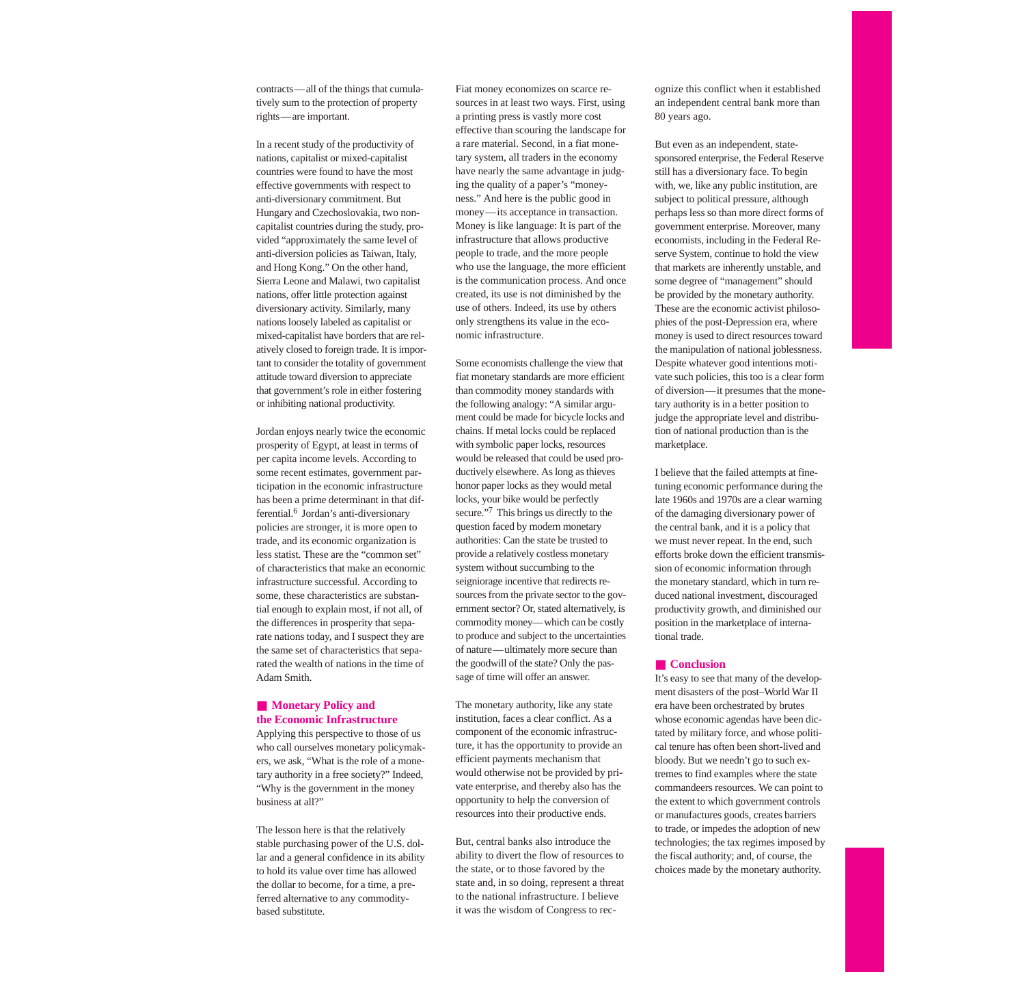contracts—all of the things that cumulatively sum to the protection of property rights—are important.

In a recent study of the productivity of nations, capitalist or mixed-capitalist countries were found to have the most effective governments with respect to anti-diversionary commitment. But Hungary and Czechoslovakia, two noncapitalist countries during the study, provided "approximately the same level of anti-diversion policies as Taiwan, Italy, and Hong Kong." On the other hand, Sierra Leone and Malawi, two capitalist nations, offer little protection against diversionary activity. Similarly, many nations loosely labeled as capitalist or mixed-capitalist have borders that are relatively closed to foreign trade. It is important to consider the totality of government attitude toward diversion to appreciate that government's role in either fostering or inhibiting national productivity.

Jordan enjoys nearly twice the economic prosperity of Egypt, at least in terms of per capita income levels. According to some recent estimates, government participation in the economic infrastructure has been a prime determinant in that differential[.6](#page-3-0) Jordan's anti-diversionary policies are stronger, it is more open to trade, and its economic organization is less statist. These are the "common set" of characteristics that make an economic infrastructure successful. According to some, these characteristics are substantial enough to explain most, if not all, of the differences in prosperity that separate nations today, and I suspect they are the same set of characteristics that separated the wealth of nations in the time of Adam Smith.

## ■ **Monetary Policy and the Economic Infrastructure**

Applying this perspective to those of us who call ourselves monetary policymakers, we ask, "What is the role of a monetary authority in a free society?" Indeed, "Why is the government in the money business at all?"

The lesson here is that the relatively stable purchasing power of the U.S. dollar and a general confidence in its ability to hold its value over time has allowed the dollar to become, for a time, a preferred alternative to any commoditybased substitute.

Fiat money economizes on scarce resources in at least two ways. First, using a printing press is vastly more cost effective than scouring the landscape for a rare material. Second, in a fiat monetary system, all traders in the economy have nearly the same advantage in judging the quality of a paper's "moneyness." And here is the public good in money—its acceptance in transaction. Money is like language: It is part of the infrastructure that allows productive people to trade, and the more people who use the language, the more efficient is the communication process. And once created, its use is not diminished by the use of others. Indeed, its use by others only strengthens its value in the economic infrastructure.

Some economists challenge the view that fiat monetary standards are more efficient than commodity money standards with the following analogy: "A similar argument could be made for bicycle locks and chains. If metal locks could be replaced with symbolic paper locks, resources would be released that could be used productively elsewhere. As long as thieves honor paper locks as they would metal locks, your bike would be perfectly secure."<sup>7</sup> This brings us directly to the question faced by modern monetary authorities: Can the state be trusted to provide a relatively costless monetary system without succumbing to the seigniorage incentive that redirects resources from the private sector to the government sector? Or, stated alternatively, is commodity money—which can be costly to produce and subject to the uncertainties of nature—ultimately more secure than the goodwill of the state? Only the passage of time will offer an answer.

The monetary authority, like any state institution, faces a clear conflict. As a component of the economic infrastructure, it has the opportunity to provide an efficient payments mechanism that would otherwise not be provided by private enterprise, and thereby also has the opportunity to help the conversion of resources into their productive ends.

But, central banks also introduce the ability to divert the flow of resources to the state, or to those favored by the state and, in so doing, represent a threat to the national infrastructure. I believe it was the wisdom of Congress to recognize this conflict when it established an independent central bank more than 80 years ago.

But even as an independent, statesponsored enterprise, the Federal Reserve still has a diversionary face. To begin with, we, like any public institution, are subject to political pressure, although perhaps less so than more direct forms of government enterprise. Moreover, many economists, including in the Federal Reserve System, continue to hold the view that markets are inherently unstable, and some degree of "management" should be provided by the monetary authority. These are the economic activist philosophies of the post-Depression era, where money is used to direct resources toward the manipulation of national joblessness. Despite whatever good intentions motivate such policies, this too is a clear form of diversion—it presumes that the monetary authority is in a better position to judge the appropriate level and distribution of national production than is the marketplace.

I believe that the failed attempts at finetuning economic performance during the late 1960s and 1970s are a clear warning of the damaging diversionary power of the central bank, and it is a policy that we must never repeat. In the end, such efforts broke down the efficient transmission of economic information through the monetary standard, which in turn reduced national investment, discouraged productivity growth, and diminished our position in the marketplace of international trade.

#### ■ **Conclusion**

It's easy to see that many of the development disasters of the post–World War II era have been orchestrated by brutes whose economic agendas have been dictated by military force, and whose political tenure has often been short-lived and bloody. But we needn't go to such extremes to find examples where the state commandeers resources. We can point to the extent to which government controls or manufactures goods, creates barriers to trade, or impedes the adoption of new technologies; the tax regimes imposed by the fiscal authority; and, of course, the choices made by the monetary authority.